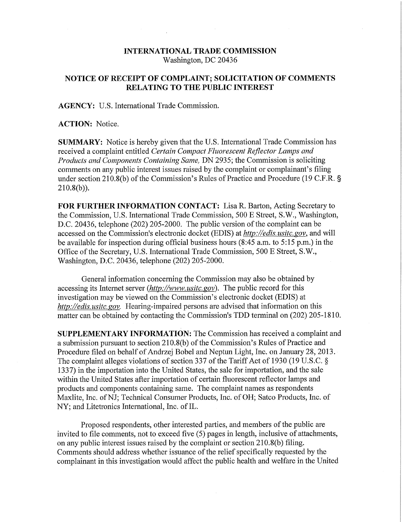## **INTERNATIONAL TRADE COMMISSION**  Washington, DC 20436

## **NOTICE OF RECEIPT OF COMPLAINT; SOLICITATION OF COMMENTS RELATING TO THE PUBLIC INTEREST**

**AGENCY:** U.S. International Trade Commission.

**ACTION:** Notice.

**SUMMARY:** Notice is hereby given that the U.S. International Trade Commission has received a complaint entitled *Certain Compact Fluorescent Reflector Lamps and Products and Components Containing Same,* DN 2935; the Commission is soliciting comments on any public interest issues raised by the complaint or complainant's filing under section 210.8(b) of the Commission's Rules of Practice and Procedure (19 C.F.R. §  $210.8(b)$ ).

FOR FURTHER INFORMATION CONTACT: Lisa R. Barton, Acting Secretary to the Commission, U.S. International Trade Commission, 500 E Street, S.W., Washington, D.C. 20436, telephone (202) 205-2000. The public version of the complaint can be accessed on the Commission's electronic docket (EDIS) at *http://edis. nsitc. gov,* and will be available for inspection during official business hours (8:45 a.m. to 5:15 p.m.) in the Office of the Secretary, U.S. International Trade Commission, 500 E Street, S.W., Washington, D.C. 20436, telephone (202) 205-2000.

General information concerning the Commission may also be obtained by accessing its Internet server *(http://www, usitc. gov)* • The public record for this investigation may be viewed on the Commission's electronic docket (EDIS) at *http://edis. usitc. gov.* Hearing-impaired persons are advised that information on this matter can be obtained by contacting the Commission's TDD terminal on (202) 205-1810.

**SUPPLEMENTARY INFORMATION:** The Commission has received a complaint and a submission pursuant to section 210.8(b) of the Commission's Rules of Practice and Procedure filed on behalf of Andrzej Bobel and Neptun Light, Inc. on January 28, 2013. The complaint alleges violations of section 337 of the Tariff Act of 1930 (19 U.S.C. § 1337) in the importation into the United States, the sale for importation, and the sale within the United States after importation of certain fluorescent reflector lamps and products and components containing same. The complaint names as respondents Maxlite, Inc. of NJ; Technical Consumer Products, Inc. of OH; Satco Products, Inc. of NY; and Litetronics International, Inc. of IL.

Proposed respondents, other interested parties, and members of the public are invited to file comments, not to exceed five (5) pages in length, inclusive of attachments, on any public interest issues raised by the complaint or section 210.8(b) filing. Comments should address whether issuance of the relief specifically requested by the complainant in this investigation would affect the public health and welfare in the United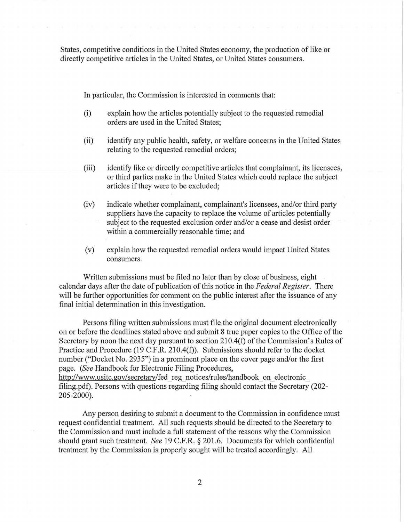States, competitive conditions in the United States economy, the production of like or directly competitive articles in the United States, or United States consumers.

In particular, the Commission is interested in comments that:

- (i) explain how the articles potentially subject to the requested remedial orders are used in the United States;
- (ii) identify any public health, safety, or welfare concerns in the United States relating to the requested remedial orders;
- (iii) identify like or directly competitive articles that complainant, its licensees, or third parties make in the United States which could replace the subject articles if they were to be excluded;
- (iv) indicate whether complainant, complainant's licensees, and/or third party suppliers have the capacity to replace the volume of articles potentially subject to the requested exclusion order and/or a cease and desist order within a commercially reasonable time; and
- (v) explain how the requested remedial orders would impact United States consumers.

Written submissions must be filed no later than by close of business, eight calendar days after the date of publication of this notice in the *Federal Register.* There will be further opportunities for comment on the public interest after the issuance of any final initial determination in this investigation.

Persons filing written submissions must file the original document electronically on or before the deadlines stated above and submit 8 true paper copies to the Office of the Secretary by noon the next day pursuant to section 210.4(f) of the Commission's Rules of Practice and Procedure (19 C.F.R. 210.4(f)). Submissions should refer to the docket number ("Docket No. 2935") in a prominent place on the cover page and/or the first page. *(See* Handbook for Electronic Filing Procedures, http://www.usitc.gov/secretary/fed\_reg\_notices/rules/handbook\_on\_electronic filing.pdf). Persons with questions regarding filing should contact the Secretary (202- 205-2000).

Any person desiring to submit a document to the Commission in confidence must request confidential treatment. All such requests should be directed to the Secretary to the Commission and must include a full statement of the reasons why the Commission should grant such treatment. *See* 19 C.F.R. § 201.6. Documents for which confidential treatment by the Commission is properly sought will be treated accordingly. All